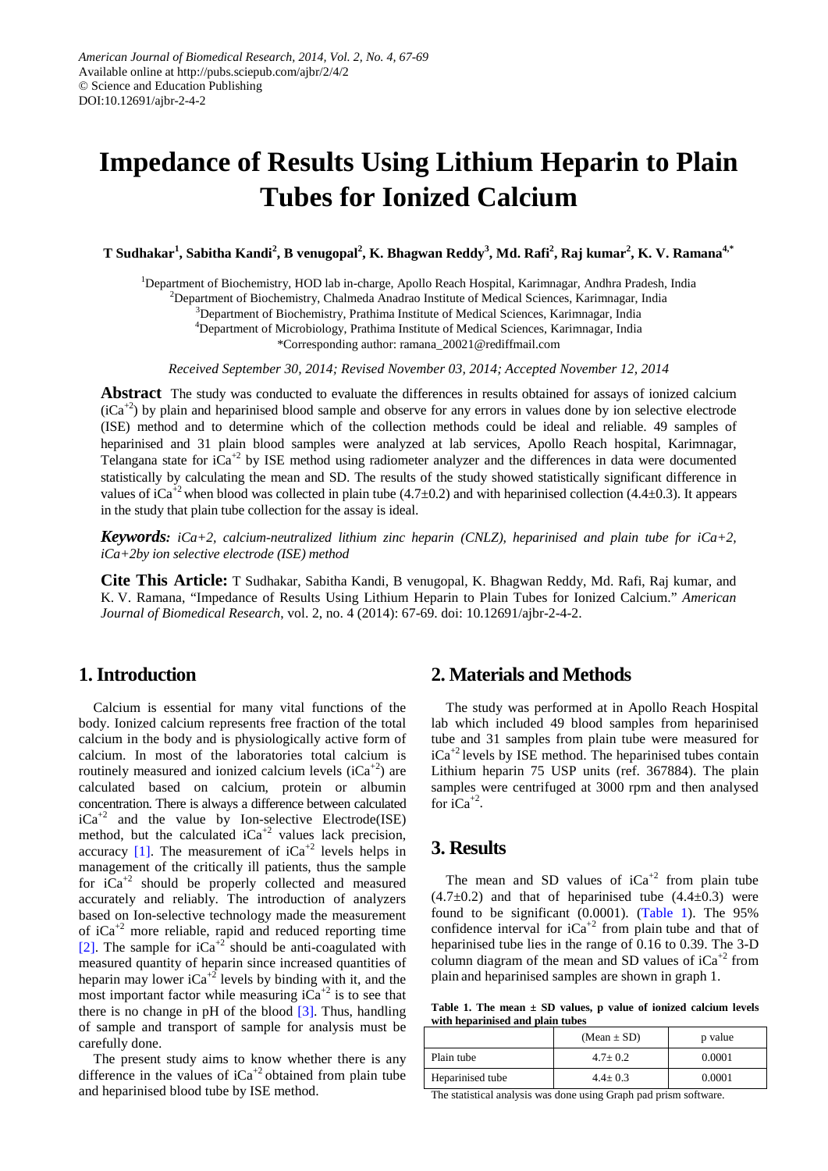# **Impedance of Results Using Lithium Heparin to Plain Tubes for Ionized Calcium**

 $\bf{T}$  Sudhakar<sup>1</sup>, Sabitha Kandi<sup>2</sup>, B venugopal<sup>2</sup>, K. Bhagwan Reddy<sup>3</sup>, Md. Rafi<sup>2</sup>, Raj kumar<sup>2</sup>, K. V. Ramana<sup>4,\*</sup>

<sup>1</sup>Department of Biochemistry, HOD lab in-charge, Apollo Reach Hospital, Karimnagar, Andhra Pradesh, India

<sup>2</sup>Department of Biochemistry, Chalmeda Anadrao Institute of Medical Sciences, Karimnagar, India

<sup>3</sup>Department of Biochemistry, Prathima Institute of Medical Sciences, Karimnagar, India

4 Department of Microbiology, Prathima Institute of Medical Sciences, Karimnagar, India

\*Corresponding author: ramana\_20021@rediffmail.com

*Received September 30, 2014; Revised November 03, 2014; Accepted November 12, 2014*

**Abstract** The study was conducted to evaluate the differences in results obtained for assays of ionized calcium  $(iCa<sup>+2</sup>)$  by plain and heparinised blood sample and observe for any errors in values done by ion selective electrode (ISE) method and to determine which of the collection methods could be ideal and reliable. 49 samples of heparinised and 31 plain blood samples were analyzed at lab services, Apollo Reach hospital, Karimnagar, Telangana state for  $iCa^{2}$  by ISE method using radiometer analyzer and the differences in data were documented statistically by calculating the mean and SD. The results of the study showed statistically significant difference in values of iCa<sup>+2</sup> when blood was collected in plain tube (4.7 $\pm$ 0.2) and with heparinised collection (4.4 $\pm$ 0.3). It appears in the study that plain tube collection for the assay is ideal.

*Keywords: iCa+2, calcium-neutralized lithium zinc heparin (CNLZ), heparinised and plain tube for iCa+2, iCa+2by ion selective electrode (ISE) method*

**Cite This Article:** T Sudhakar, Sabitha Kandi, B venugopal, K. Bhagwan Reddy, Md. Rafi, Raj kumar, and K. V. Ramana, "Impedance of Results Using Lithium Heparin to Plain Tubes for Ionized Calcium." *American Journal of Biomedical Research*, vol. 2, no. 4 (2014): 67-69. doi: 10.12691/ajbr-2-4-2.

# **1. Introduction**

Calcium is essential for many vital functions of the body. Ionized calcium represents free fraction of the total calcium in the body and is physiologically active form of calcium. In most of the laboratories total calcium is routinely measured and ionized calcium levels  $(iCa<sup>+2</sup>)$  are calculated based on calcium, protein or albumin concentration. There is always a difference between calculated  $iCa^{+2}$  and the value by Ion-selective Electrode(ISE) method, but the calculated  $iCa^{+2}$  values lack precision, accuracy  $[1]$ . The measurement of  $iCa<sup>+2</sup>$  levels helps in management of the critically ill patients, thus the sample for  $iCa^{+2}$  should be properly collected and measured accurately and reliably. The introduction of analyzers based on Ion-selective technology made the measurement of  $iCa^{+2}$  more reliable, rapid and reduced reporting time [\[2\].](#page-1-1) The sample for  $iCa^{+2}$  should be anti-coagulated with measured quantity of heparin since increased quantities of heparin may lower  $iCa^{2}$  levels by binding with it, and the most important factor while measuring  $iCa^{+2}$  is to see that there is no change in pH of the blood [\[3\].](#page-1-2) Thus, handling of sample and transport of sample for analysis must be carefully done.

The present study aims to know whether there is any difference in the values of  $iCa^{+2}$  obtained from plain tube and heparinised blood tube by ISE method.

# **2. Materials and Methods**

The study was performed at in Apollo Reach Hospital lab which included 49 blood samples from heparinised tube and 31 samples from plain tube were measured for  $iCa^{+2}$  levels by ISE method. The heparinised tubes contain Lithium heparin 75 USP units (ref. 367884). The plain samples were centrifuged at 3000 rpm and then analysed for  $iCa^{+2}$ .

# **3. Results**

The mean and SD values of  $iCa^{+2}$  from plain tube  $(4.7\pm0.2)$  and that of heparinised tube  $(4.4\pm0.3)$  were found to be significant (0.0001). [\(Table 1\)](#page-0-0). The 95% confidence interval for  $iCa^{+2}$  from plain tube and that of heparinised tube lies in the range of 0.16 to 0.39. The 3-D column diagram of the mean and SD values of  $iCa^{+2}$  from plain and heparinised samples are shown in graph 1.

**Table 1. The mean ± SD values, p value of ionized calcium levels with heparinised and plain tubes**

<span id="page-0-0"></span>

|                  | $(Mean \pm SD)$ | p value |
|------------------|-----------------|---------|
| Plain tube       | $4.7 + 0.2$     | 0.0001  |
| Heparinised tube | $4.4 \pm 0.3$   | 0.0001  |

The statistical analysis was done using Graph pad prism software.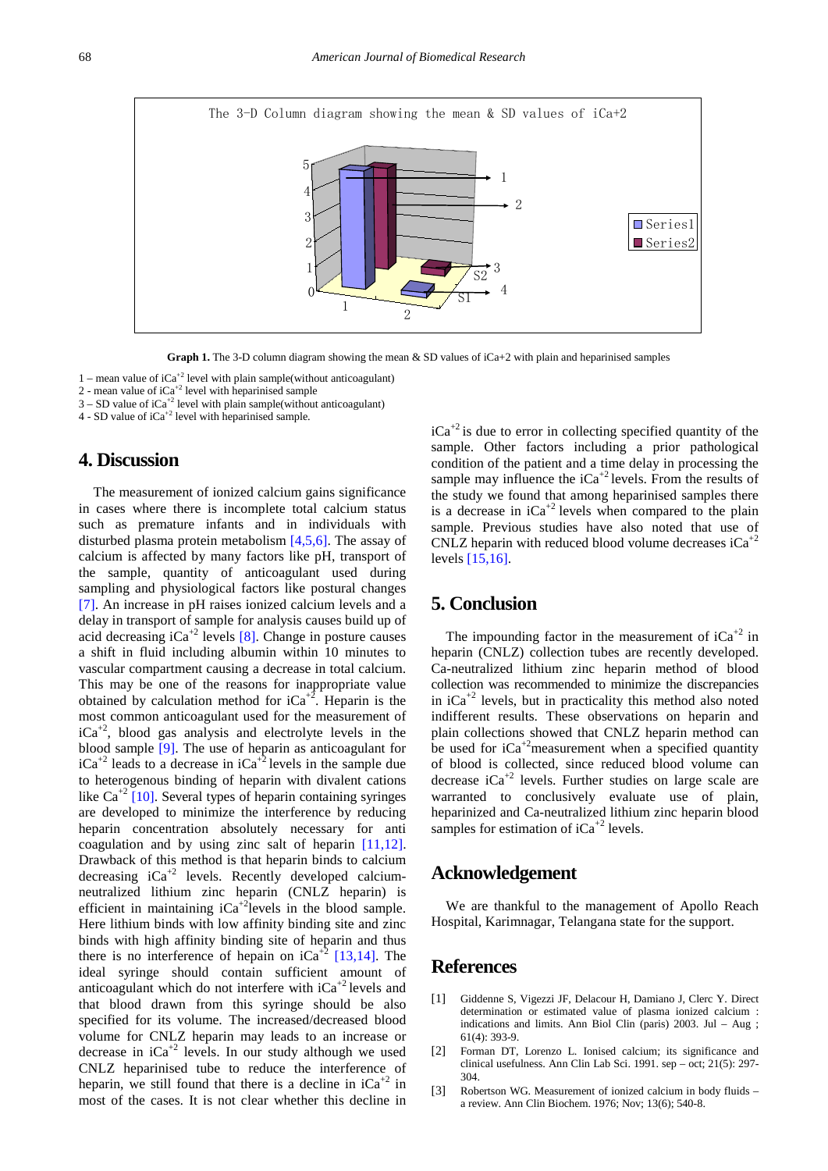

Graph 1. The 3-D column diagram showing the mean & SD values of iCa+2 with plain and heparinised samples

1 – mean value of  $iCa^{2}$  level with plain sample(without anticoagulant)

2 - mean value of  $iCa^{+2}$  level with heparinised sample

 $3 - SD$  value of  $iCa<sup>+2</sup>$  level with plain sample(without anticoagulant)

 $4$  - SD value of  $iCa^{+2}$  level with heparinised sample.

# **4. Discussion**

The measurement of ionized calcium gains significance in cases where there is incomplete total calcium status such as premature infants and in individuals with disturbed plasma protein metabolism [\[4,5,6\].](#page-2-0) The assay of calcium is affected by many factors like pH, transport of the sample, quantity of anticoagulant used during sampling and physiological factors like postural changes [\[7\].](#page-2-1) An increase in pH raises ionized calcium levels and a delay in transport of sample for analysis causes build up of acid decreasing  $iCa^{+2}$  levels [\[8\].](#page-2-2) Change in posture causes a shift in fluid including albumin within 10 minutes to vascular compartment causing a decrease in total calcium. This may be one of the reasons for inappropriate value obtained by calculation method for  $iCa^{+2}$ . Heparin is the most common anticoagulant used for the measurement of  $iCa^{+2}$ , blood gas analysis and electrolyte levels in the blood sample [\[9\].](#page-2-3) The use of heparin as anticoagulant for  $iCa^{+2}$  leads to a decrease in  $iCa^{+2}$  levels in the sample due to heterogenous binding of heparin with divalent cations like  $Ca^{+2}$  [\[10\].](#page-2-4) Several types of heparin containing syringes are developed to minimize the interference by reducing heparin concentration absolutely necessary for anti coagulation and by using zinc salt of heparin [\[11,12\].](#page-2-5) Drawback of this method is that heparin binds to calcium decreasing  $iCa^{+2}$  levels. Recently developed calciumneutralized lithium zinc heparin (CNLZ heparin) is efficient in maintaining  $iCa^{+2}$ levels in the blood sample. Here lithium binds with low affinity binding site and zinc binds with high affinity binding site of heparin and thus there is no interference of hepain on  $iCa^{+2}$  [\[13,14\].](#page-2-6) The ideal syringe should contain sufficient amount of anticoagulant which do not interfere with  $iCa^{+2}$  levels and that blood drawn from this syringe should be also specified for its volume. The increased/decreased blood volume for CNLZ heparin may leads to an increase or decrease in  $iCa^{+2}$  levels. In our study although we used CNLZ heparinised tube to reduce the interference of heparin, we still found that there is a decline in  $iCa^{+2}$  in most of the cases. It is not clear whether this decline in  $iCa^{2}$  is due to error in collecting specified quantity of the sample. Other factors including a prior pathological condition of the patient and a time delay in processing the sample may influence the  $iCa^{+2}$  levels. From the results of the study we found that among heparinised samples there is a decrease in  $iCa^{+2}$  levels when compared to the plain sample. Previous studies have also noted that use of CNLZ heparin with reduced blood volume decreases  $iCa^{+2}$ levels [\[15,16\].](#page-2-7)

# **5. Conclusion**

The impounding factor in the measurement of  $iCa^{+2}$  in heparin (CNLZ) collection tubes are recently developed. Ca-neutralized lithium zinc heparin method of blood collection was recommended to minimize the discrepancies in  $iCa^{+2}$  levels, but in practicality this method also noted indifferent results. These observations on heparin and plain collections showed that CNLZ heparin method can be used for  $iCa^{+2}$ measurement when a specified quantity of blood is collected, since reduced blood volume can decrease  $iCa^{2}$  levels. Further studies on large scale are warranted to conclusively evaluate use of plain, heparinized and Ca-neutralized lithium zinc heparin blood samples for estimation of  $iCa^{+2}$  levels.

### **Acknowledgement**

We are thankful to the management of Apollo Reach Hospital, Karimnagar, Telangana state for the support.

### **References**

- <span id="page-1-0"></span>[1] Giddenne S, Vigezzi JF, Delacour H, Damiano J, Clerc Y. Direct determination or estimated value of plasma ionized calcium : indications and limits. Ann Biol Clin (paris) 2003. Jul – Aug ; 61(4): 393-9.
- <span id="page-1-1"></span>[2] Forman DT, Lorenzo L. Ionised calcium; its significance and clinical usefulness. Ann Clin Lab Sci. 1991. sep – oct; 21(5): 297- 304.
- <span id="page-1-2"></span>[3] Robertson WG. Measurement of ionized calcium in body fluids – a review. Ann Clin Biochem. 1976; Nov; 13(6); 540-8.